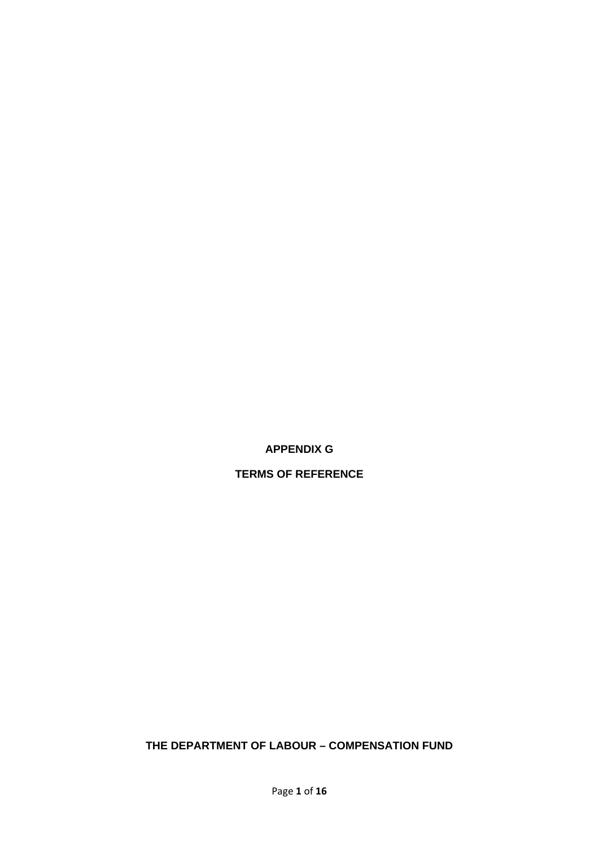**APPENDIX G** 

**TERMS OF REFERENCE** 

**THE DEPARTMENT OF LABOUR – COMPENSATION FUND**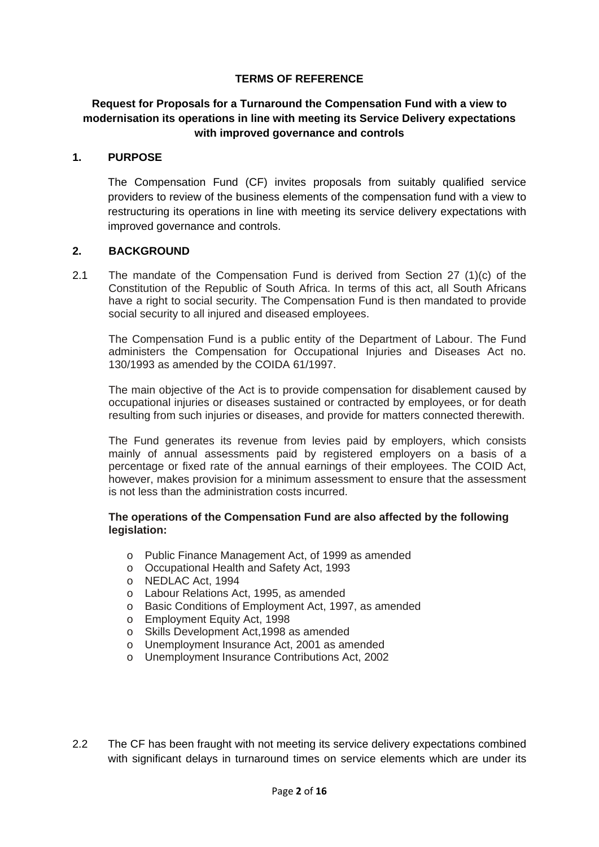#### **TERMS OF REFERENCE**

## **Request for Proposals for a Turnaround the Compensation Fund with a view to modernisation its operations in line with meeting its Service Delivery expectations with improved governance and controls**

#### **1. PURPOSE**

The Compensation Fund (CF) invites proposals from suitably qualified service providers to review of the business elements of the compensation fund with a view to restructuring its operations in line with meeting its service delivery expectations with improved governance and controls.

#### **2. BACKGROUND**

2.1 The mandate of the Compensation Fund is derived from Section 27 (1)(c) of the Constitution of the Republic of South Africa. In terms of this act, all South Africans have a right to social security. The Compensation Fund is then mandated to provide social security to all injured and diseased employees.

The Compensation Fund is a public entity of the Department of Labour. The Fund administers the Compensation for Occupational Injuries and Diseases Act no. 130/1993 as amended by the COIDA 61/1997.

The main objective of the Act is to provide compensation for disablement caused by occupational injuries or diseases sustained or contracted by employees, or for death resulting from such injuries or diseases, and provide for matters connected therewith.

The Fund generates its revenue from levies paid by employers, which consists mainly of annual assessments paid by registered employers on a basis of a percentage or fixed rate of the annual earnings of their employees. The COID Act, however, makes provision for a minimum assessment to ensure that the assessment is not less than the administration costs incurred.

#### **The operations of the Compensation Fund are also affected by the following legislation:**

- o Public Finance Management Act, of 1999 as amended
- o Occupational Health and Safety Act, 1993
- o NEDLAC Act, 1994
- o Labour Relations Act, 1995, as amended
- o Basic Conditions of Employment Act, 1997, as amended
- o Employment Equity Act, 1998
- o Skills Development Act,1998 as amended
- o Unemployment Insurance Act, 2001 as amended
- o Unemployment Insurance Contributions Act, 2002
- 2.2 The CF has been fraught with not meeting its service delivery expectations combined with significant delays in turnaround times on service elements which are under its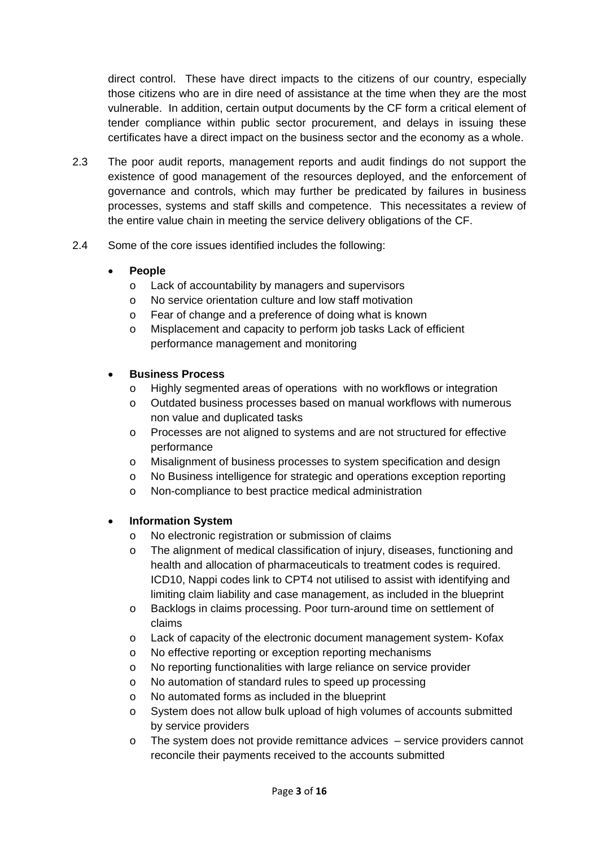direct control. These have direct impacts to the citizens of our country, especially those citizens who are in dire need of assistance at the time when they are the most vulnerable. In addition, certain output documents by the CF form a critical element of tender compliance within public sector procurement, and delays in issuing these certificates have a direct impact on the business sector and the economy as a whole.

- 2.3 The poor audit reports, management reports and audit findings do not support the existence of good management of the resources deployed, and the enforcement of governance and controls, which may further be predicated by failures in business processes, systems and staff skills and competence. This necessitates a review of the entire value chain in meeting the service delivery obligations of the CF.
- 2.4 Some of the core issues identified includes the following:

## **People**

- o Lack of accountability by managers and supervisors
- o No service orientation culture and low staff motivation
- o Fear of change and a preference of doing what is known
- o Misplacement and capacity to perform job tasks Lack of efficient performance management and monitoring

## **Business Process**

- o Highly segmented areas of operations with no workflows or integration
- o Outdated business processes based on manual workflows with numerous non value and duplicated tasks
- o Processes are not aligned to systems and are not structured for effective performance
- o Misalignment of business processes to system specification and design
- o No Business intelligence for strategic and operations exception reporting
- o Non-compliance to best practice medical administration

## **Information System**

- o No electronic registration or submission of claims
- o The alignment of medical classification of injury, diseases, functioning and health and allocation of pharmaceuticals to treatment codes is required. ICD10, Nappi codes link to CPT4 not utilised to assist with identifying and limiting claim liability and case management, as included in the blueprint
- o Backlogs in claims processing. Poor turn-around time on settlement of claims
- o Lack of capacity of the electronic document management system- Kofax
- o No effective reporting or exception reporting mechanisms
- o No reporting functionalities with large reliance on service provider
- o No automation of standard rules to speed up processing
- o No automated forms as included in the blueprint
- o System does not allow bulk upload of high volumes of accounts submitted by service providers
- o The system does not provide remittance advices service providers cannot reconcile their payments received to the accounts submitted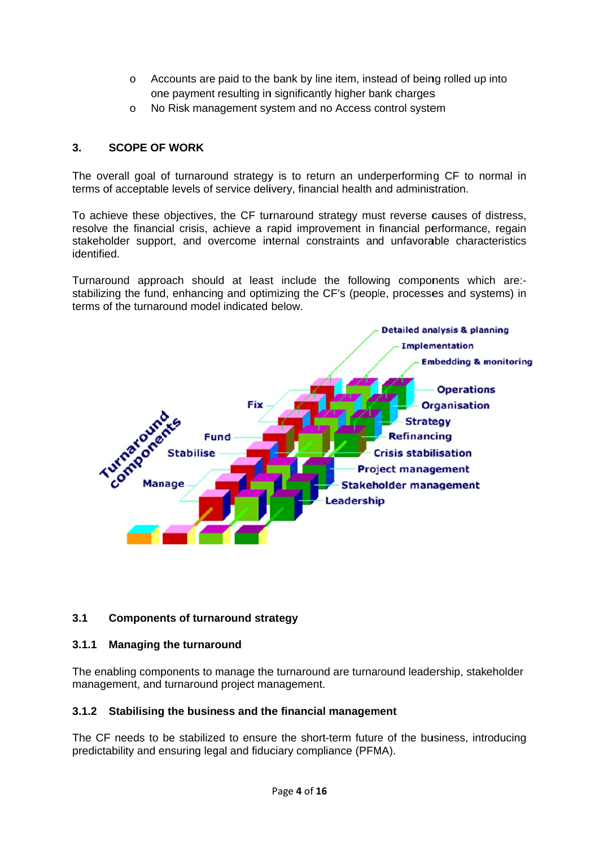- o Accounts are paid to the bank by line item, instead of being rolled up into one payment resulting in significantly higher bank charges
- o No Risk management system and no Access control system

#### **3. SCOPE OF F WORK**

The overall goal of turnaround strategy is to return an underperforming CF to normal in terms of acceptable levels of service delivery, financial health and administration.

To achieve these objectives, the CF turnaround strategy must reverse causes of distress, resolve the financial crisis, achieve a rapid improvement in financial performance, regain stakeholder support, and overcome internal constraints and unfavorable characteristics identified.

Turnaround approach should at least include the following components which are:stabilizing the fund, enhancing and optimizing the CF's (people, processes and systems) in terms of the turnaround model indicated below.



#### **3.1 Components of turnaround strategy**

#### **3.1.1 Managing the turnaround**

The enabling components to manage the turnaround are turnaround leadership, stakeholder management, and turnaround project management.

## **3.1.2** Stabilising the business and the financial management

The CF needs to be stabilized to ensure the short-term future of the business, introducing predictability and ensuring legal and fiduciary compliance (PFMA).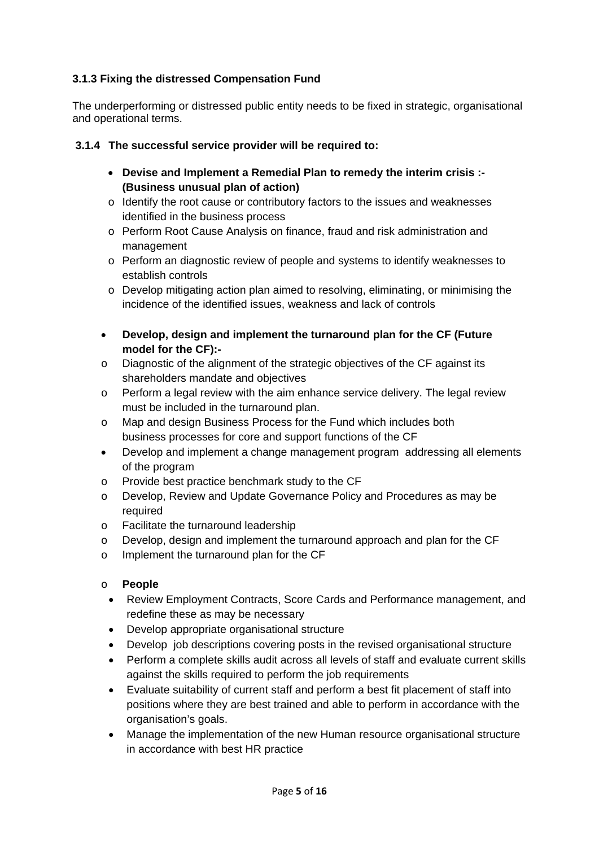# **3.1.3 Fixing the distressed Compensation Fund**

The underperforming or distressed public entity needs to be fixed in strategic, organisational and operational terms.

# **3.1.4 The successful service provider will be required to:**

- **Devise and Implement a Remedial Plan to remedy the interim crisis :- (Business unusual plan of action)**
- o Identify the root cause or contributory factors to the issues and weaknesses identified in the business process
- o Perform Root Cause Analysis on finance, fraud and risk administration and management
- o Perform an diagnostic review of people and systems to identify weaknesses to establish controls
- o Develop mitigating action plan aimed to resolving, eliminating, or minimising the incidence of the identified issues, weakness and lack of controls
- **Develop, design and implement the turnaround plan for the CF (Future model for the CF):-**
- o Diagnostic of the alignment of the strategic objectives of the CF against its shareholders mandate and objectives
- $\circ$  Perform a legal review with the aim enhance service delivery. The legal review must be included in the turnaround plan.
- o Map and design Business Process for the Fund which includes both business processes for core and support functions of the CF
- Develop and implement a change management program addressing all elements of the program
- o Provide best practice benchmark study to the CF
- o Develop, Review and Update Governance Policy and Procedures as may be required
- o Facilitate the turnaround leadership
- o Develop, design and implement the turnaround approach and plan for the CF
- o Implement the turnaround plan for the CF

# o **People**

- Review Employment Contracts, Score Cards and Performance management, and redefine these as may be necessary
- Develop appropriate organisational structure
- Develop job descriptions covering posts in the revised organisational structure
- Perform a complete skills audit across all levels of staff and evaluate current skills against the skills required to perform the job requirements
- Evaluate suitability of current staff and perform a best fit placement of staff into positions where they are best trained and able to perform in accordance with the organisation's goals.
- Manage the implementation of the new Human resource organisational structure in accordance with best HR practice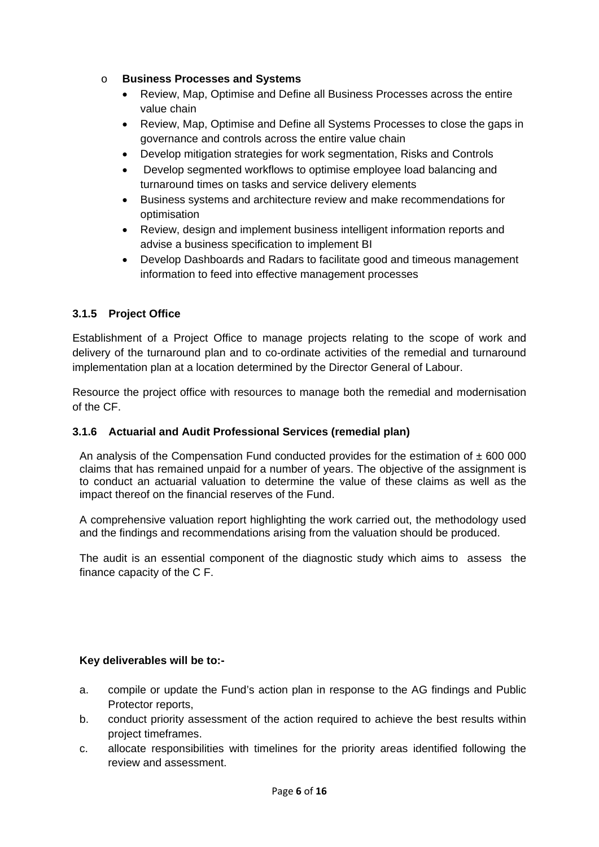## o **Business Processes and Systems**

- Review, Map, Optimise and Define all Business Processes across the entire value chain
- Review, Map, Optimise and Define all Systems Processes to close the gaps in governance and controls across the entire value chain
- Develop mitigation strategies for work segmentation, Risks and Controls
- Develop segmented workflows to optimise employee load balancing and turnaround times on tasks and service delivery elements
- Business systems and architecture review and make recommendations for optimisation
- Review, design and implement business intelligent information reports and advise a business specification to implement BI
- Develop Dashboards and Radars to facilitate good and timeous management information to feed into effective management processes

# **3.1.5 Project Office**

Establishment of a Project Office to manage projects relating to the scope of work and delivery of the turnaround plan and to co-ordinate activities of the remedial and turnaround implementation plan at a location determined by the Director General of Labour.

Resource the project office with resources to manage both the remedial and modernisation of the CF.

# **3.1.6 Actuarial and Audit Professional Services (remedial plan)**

An analysis of the Compensation Fund conducted provides for the estimation of  $\pm$  600 000 claims that has remained unpaid for a number of years. The objective of the assignment is to conduct an actuarial valuation to determine the value of these claims as well as the impact thereof on the financial reserves of the Fund.

A comprehensive valuation report highlighting the work carried out, the methodology used and the findings and recommendations arising from the valuation should be produced.

The audit is an essential component of the diagnostic study which aims to assess the finance capacity of the C F.

## **Key deliverables will be to:-**

- a. compile or update the Fund's action plan in response to the AG findings and Public Protector reports,
- b. conduct priority assessment of the action required to achieve the best results within project timeframes.
- c. allocate responsibilities with timelines for the priority areas identified following the review and assessment.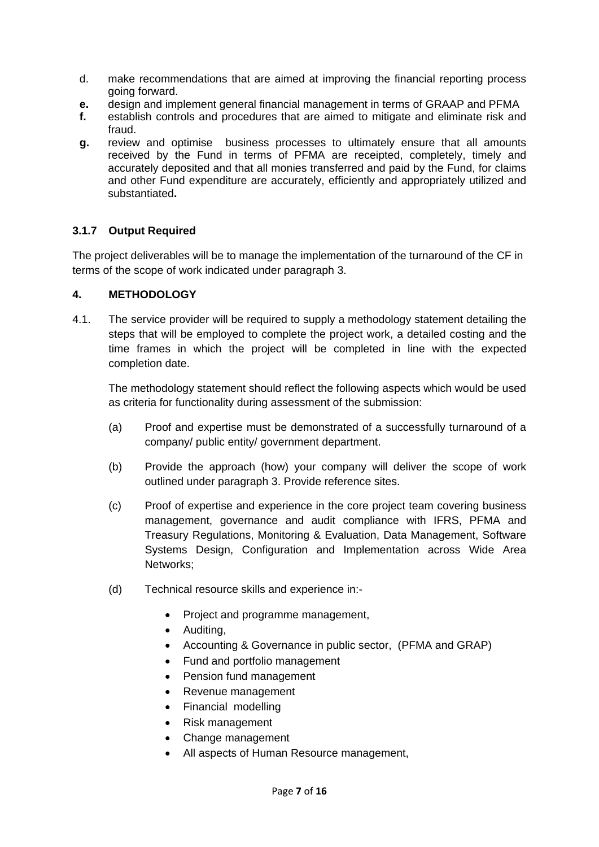- d. make recommendations that are aimed at improving the financial reporting process going forward.
- **e.** design and implement general financial management in terms of GRAAP and PFMA
- **f.** establish controls and procedures that are aimed to mitigate and eliminate risk and fraud.
- **g.** review and optimise business processes to ultimately ensure that all amounts received by the Fund in terms of PFMA are receipted, completely, timely and accurately deposited and that all monies transferred and paid by the Fund, for claims and other Fund expenditure are accurately, efficiently and appropriately utilized and substantiated**.**

## **3.1.7 Output Required**

The project deliverables will be to manage the implementation of the turnaround of the CF in terms of the scope of work indicated under paragraph 3.

## **4. METHODOLOGY**

4.1. The service provider will be required to supply a methodology statement detailing the steps that will be employed to complete the project work, a detailed costing and the time frames in which the project will be completed in line with the expected completion date.

The methodology statement should reflect the following aspects which would be used as criteria for functionality during assessment of the submission:

- (a) Proof and expertise must be demonstrated of a successfully turnaround of a company/ public entity/ government department.
- (b) Provide the approach (how) your company will deliver the scope of work outlined under paragraph 3. Provide reference sites.
- (c) Proof of expertise and experience in the core project team covering business management, governance and audit compliance with IFRS, PFMA and Treasury Regulations, Monitoring & Evaluation, Data Management, Software Systems Design, Configuration and Implementation across Wide Area Networks;
- (d) Technical resource skills and experience in:-
	- Project and programme management,
	- Auditing,
	- Accounting & Governance in public sector, (PFMA and GRAP)
	- Fund and portfolio management
	- Pension fund management
	- Revenue management
	- Financial modelling
	- Risk management
	- Change management
	- All aspects of Human Resource management,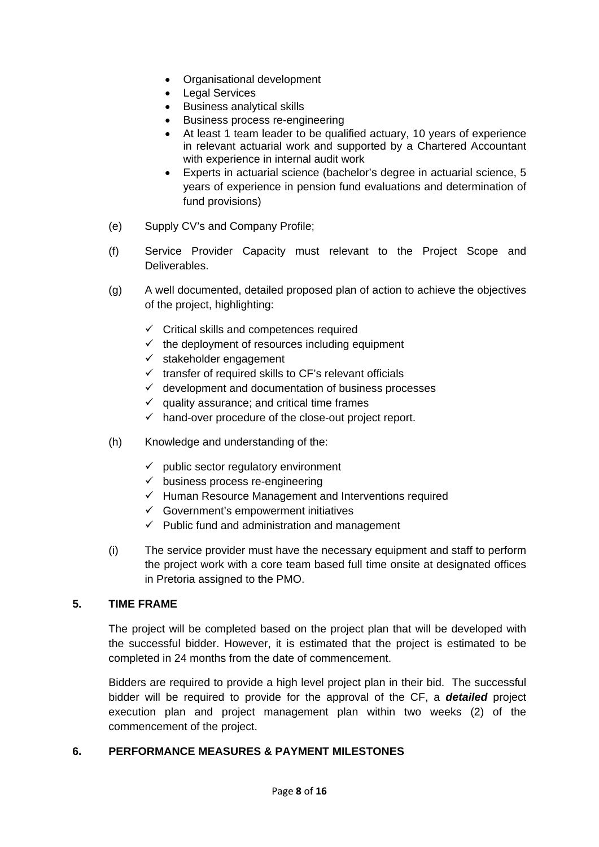- Organisational development
- Legal Services
- Business analytical skills
- Business process re-engineering
- At least 1 team leader to be qualified actuary, 10 years of experience in relevant actuarial work and supported by a Chartered Accountant with experience in internal audit work
- Experts in actuarial science (bachelor's degree in actuarial science, 5 years of experience in pension fund evaluations and determination of fund provisions)
- (e) Supply CV's and Company Profile;
- (f) Service Provider Capacity must relevant to the Project Scope and Deliverables.
- (g) A well documented, detailed proposed plan of action to achieve the objectives of the project, highlighting:
	- $\checkmark$  Critical skills and competences required
	- $\checkmark$  the deployment of resources including equipment
	- $\checkmark$  stakeholder engagement
	- $\checkmark$  transfer of required skills to CF's relevant officials
	- $\checkmark$  development and documentation of business processes
	- $\checkmark$  quality assurance; and critical time frames
	- $\checkmark$  hand-over procedure of the close-out project report.
- (h) Knowledge and understanding of the:
	- $\checkmark$  public sector regulatory environment
	- $\checkmark$  business process re-engineering
	- $\checkmark$  Human Resource Management and Interventions required
	- $\checkmark$  Government's empowerment initiatives
	- $\checkmark$  Public fund and administration and management
- (i) The service provider must have the necessary equipment and staff to perform the project work with a core team based full time onsite at designated offices in Pretoria assigned to the PMO.

## **5. TIME FRAME**

The project will be completed based on the project plan that will be developed with the successful bidder. However, it is estimated that the project is estimated to be completed in 24 months from the date of commencement.

Bidders are required to provide a high level project plan in their bid. The successful bidder will be required to provide for the approval of the CF, a *detailed* project execution plan and project management plan within two weeks (2) of the commencement of the project.

## **6. PERFORMANCE MEASURES & PAYMENT MILESTONES**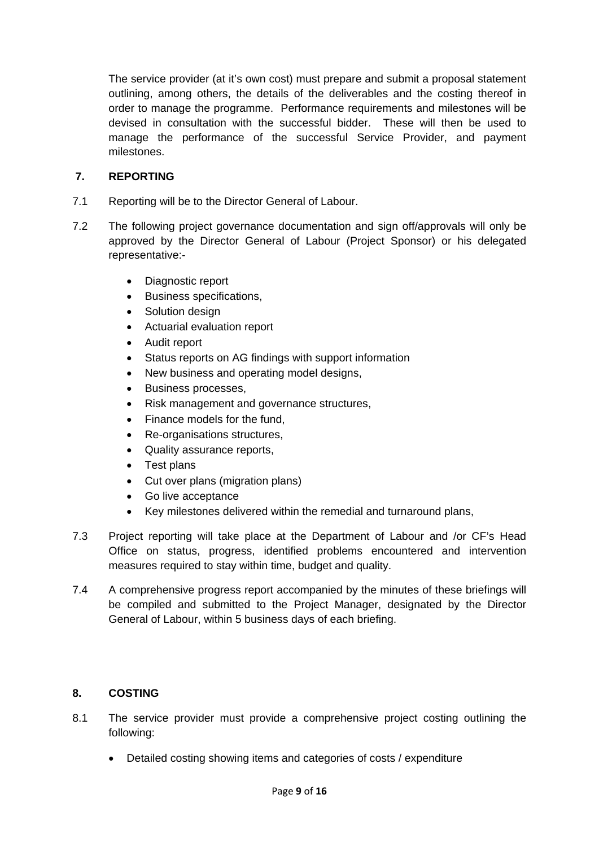The service provider (at it's own cost) must prepare and submit a proposal statement outlining, among others, the details of the deliverables and the costing thereof in order to manage the programme. Performance requirements and milestones will be devised in consultation with the successful bidder. These will then be used to manage the performance of the successful Service Provider, and payment milestones.

## **7. REPORTING**

- 7.1 Reporting will be to the Director General of Labour.
- 7.2 The following project governance documentation and sign off/approvals will only be approved by the Director General of Labour (Project Sponsor) or his delegated representative:-
	- Diagnostic report
	- Business specifications,
	- Solution design
	- Actuarial evaluation report
	- Audit report
	- Status reports on AG findings with support information
	- New business and operating model designs,
	- Business processes,
	- Risk management and governance structures,
	- Finance models for the fund,
	- Re-organisations structures,
	- Quality assurance reports,
	- Test plans
	- Cut over plans (migration plans)
	- Go live acceptance
	- Key milestones delivered within the remedial and turnaround plans,
- 7.3 Project reporting will take place at the Department of Labour and /or CF's Head Office on status, progress, identified problems encountered and intervention measures required to stay within time, budget and quality.
- 7.4 A comprehensive progress report accompanied by the minutes of these briefings will be compiled and submitted to the Project Manager, designated by the Director General of Labour, within 5 business days of each briefing.

# **8. COSTING**

- 8.1 The service provider must provide a comprehensive project costing outlining the following:
	- Detailed costing showing items and categories of costs / expenditure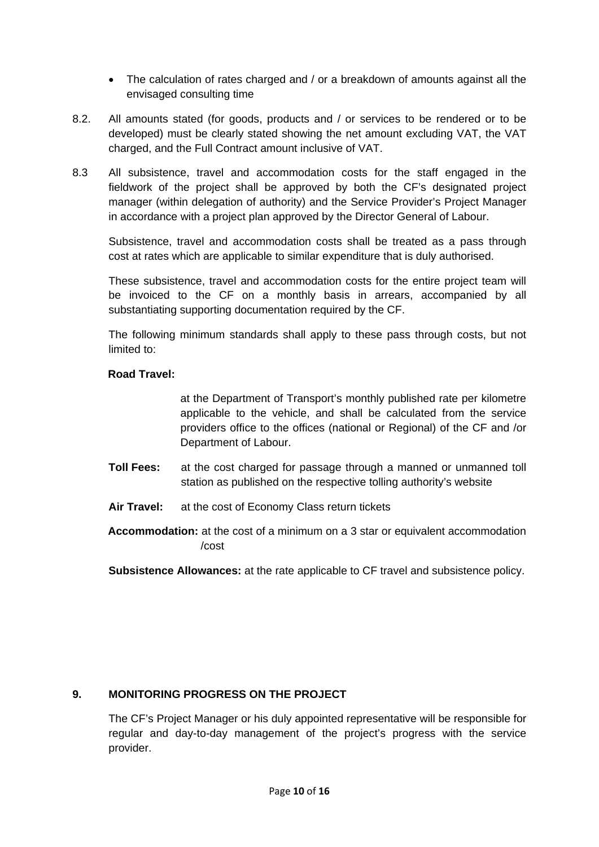- The calculation of rates charged and / or a breakdown of amounts against all the envisaged consulting time
- 8.2. All amounts stated (for goods, products and / or services to be rendered or to be developed) must be clearly stated showing the net amount excluding VAT, the VAT charged, and the Full Contract amount inclusive of VAT.
- 8.3 All subsistence, travel and accommodation costs for the staff engaged in the fieldwork of the project shall be approved by both the CF's designated project manager (within delegation of authority) and the Service Provider's Project Manager in accordance with a project plan approved by the Director General of Labour.

Subsistence, travel and accommodation costs shall be treated as a pass through cost at rates which are applicable to similar expenditure that is duly authorised.

These subsistence, travel and accommodation costs for the entire project team will be invoiced to the CF on a monthly basis in arrears, accompanied by all substantiating supporting documentation required by the CF.

 The following minimum standards shall apply to these pass through costs, but not limited to:

## **Road Travel:**

at the Department of Transport's monthly published rate per kilometre applicable to the vehicle, and shall be calculated from the service providers office to the offices (national or Regional) of the CF and /or Department of Labour.

- **Toll Fees:** at the cost charged for passage through a manned or unmanned toll station as published on the respective tolling authority's website
- **Air Travel:** at the cost of Economy Class return tickets
- **Accommodation:** at the cost of a minimum on a 3 star or equivalent accommodation /cost

**Subsistence Allowances:** at the rate applicable to CF travel and subsistence policy.

# **9. MONITORING PROGRESS ON THE PROJECT**

The CF's Project Manager or his duly appointed representative will be responsible for regular and day-to-day management of the project's progress with the service provider.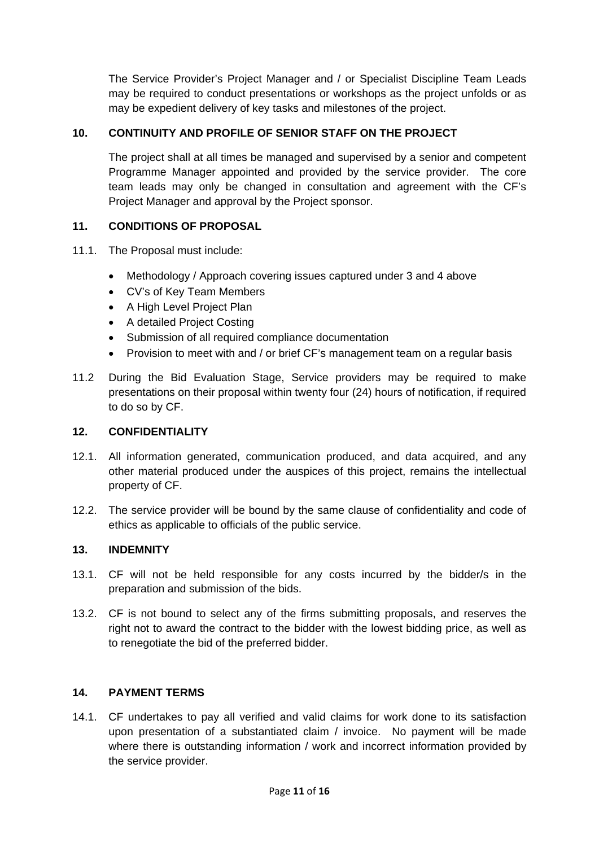The Service Provider's Project Manager and / or Specialist Discipline Team Leads may be required to conduct presentations or workshops as the project unfolds or as may be expedient delivery of key tasks and milestones of the project.

# **10. CONTINUITY AND PROFILE OF SENIOR STAFF ON THE PROJECT**

The project shall at all times be managed and supervised by a senior and competent Programme Manager appointed and provided by the service provider. The core team leads may only be changed in consultation and agreement with the CF's Project Manager and approval by the Project sponsor.

## **11. CONDITIONS OF PROPOSAL**

- 11.1. The Proposal must include:
	- Methodology / Approach covering issues captured under 3 and 4 above
	- CV's of Key Team Members
	- A High Level Project Plan
	- A detailed Project Costing
	- Submission of all required compliance documentation
	- Provision to meet with and / or brief CF's management team on a regular basis
- 11.2 During the Bid Evaluation Stage, Service providers may be required to make presentations on their proposal within twenty four (24) hours of notification, if required to do so by CF.

## **12. CONFIDENTIALITY**

- 12.1. All information generated, communication produced, and data acquired, and any other material produced under the auspices of this project, remains the intellectual property of CF.
- 12.2. The service provider will be bound by the same clause of confidentiality and code of ethics as applicable to officials of the public service.

## **13. INDEMNITY**

- 13.1. CF will not be held responsible for any costs incurred by the bidder/s in the preparation and submission of the bids.
- 13.2. CF is not bound to select any of the firms submitting proposals, and reserves the right not to award the contract to the bidder with the lowest bidding price, as well as to renegotiate the bid of the preferred bidder.

## **14. PAYMENT TERMS**

14.1. CF undertakes to pay all verified and valid claims for work done to its satisfaction upon presentation of a substantiated claim / invoice. No payment will be made where there is outstanding information / work and incorrect information provided by the service provider.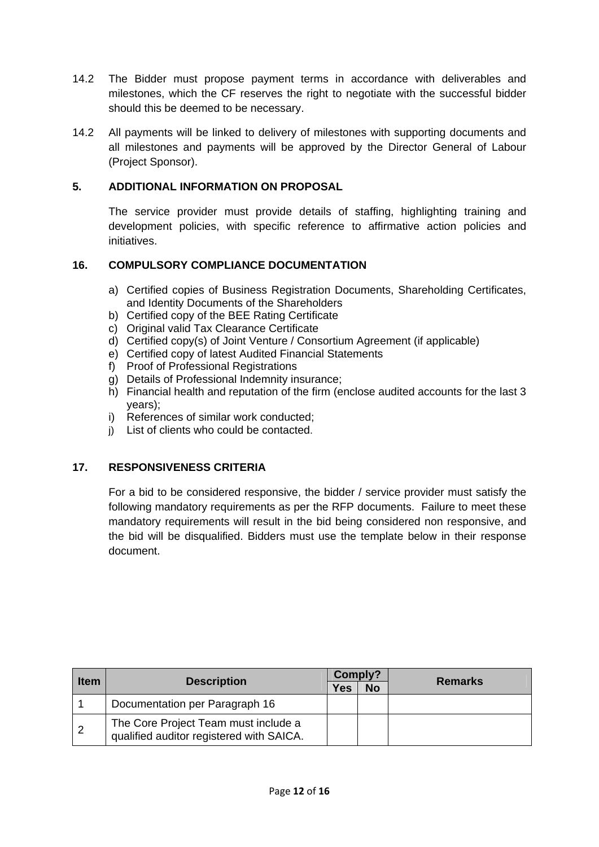- 14.2 The Bidder must propose payment terms in accordance with deliverables and milestones, which the CF reserves the right to negotiate with the successful bidder should this be deemed to be necessary.
- 14.2 All payments will be linked to delivery of milestones with supporting documents and all milestones and payments will be approved by the Director General of Labour (Project Sponsor).

## **5. ADDITIONAL INFORMATION ON PROPOSAL**

The service provider must provide details of staffing, highlighting training and development policies, with specific reference to affirmative action policies and initiatives.

## **16. COMPULSORY COMPLIANCE DOCUMENTATION**

- a) Certified copies of Business Registration Documents, Shareholding Certificates, and Identity Documents of the Shareholders
- b) Certified copy of the BEE Rating Certificate
- c) Original valid Tax Clearance Certificate
- d) Certified copy(s) of Joint Venture / Consortium Agreement (if applicable)
- e) Certified copy of latest Audited Financial Statements
- f) Proof of Professional Registrations
- g) Details of Professional Indemnity insurance;
- h) Financial health and reputation of the firm (enclose audited accounts for the last 3 years);
- i) References of similar work conducted;
- j) List of clients who could be contacted.

## **17. RESPONSIVENESS CRITERIA**

For a bid to be considered responsive, the bidder / service provider must satisfy the following mandatory requirements as per the RFP documents. Failure to meet these mandatory requirements will result in the bid being considered non responsive, and the bid will be disqualified. Bidders must use the template below in their response document.

| <b>Item</b> | <b>Description</b>                                                               | Comply? |           |                |
|-------------|----------------------------------------------------------------------------------|---------|-----------|----------------|
|             |                                                                                  | Yes     | <b>No</b> | <b>Remarks</b> |
|             | Documentation per Paragraph 16                                                   |         |           |                |
| $\sqrt{2}$  | The Core Project Team must include a<br>qualified auditor registered with SAICA. |         |           |                |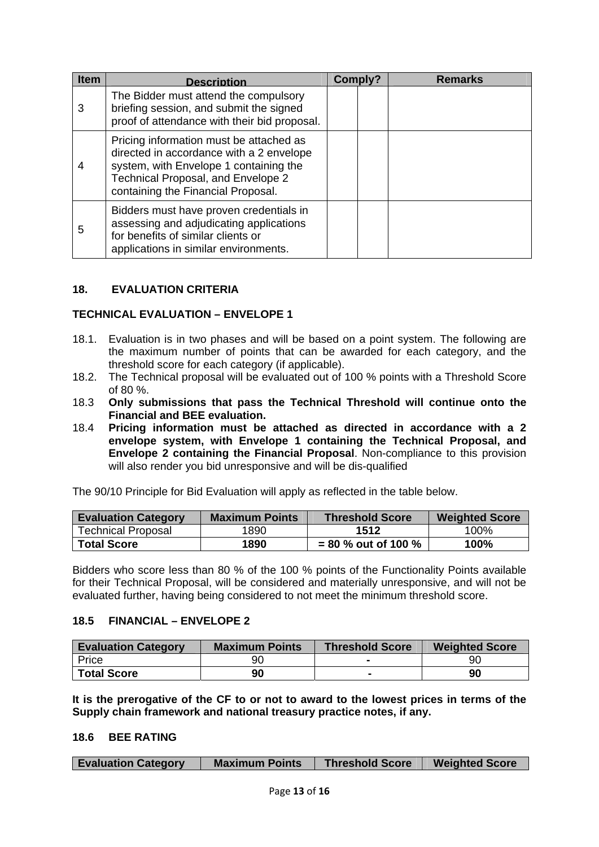| <b>Item</b> | <b>Description</b>                                                                                                                                                                                        | Comply? | <b>Remarks</b> |
|-------------|-----------------------------------------------------------------------------------------------------------------------------------------------------------------------------------------------------------|---------|----------------|
| 3           | The Bidder must attend the compulsory<br>briefing session, and submit the signed<br>proof of attendance with their bid proposal.                                                                          |         |                |
| 4           | Pricing information must be attached as<br>directed in accordance with a 2 envelope<br>system, with Envelope 1 containing the<br>Technical Proposal, and Envelope 2<br>containing the Financial Proposal. |         |                |
| 5           | Bidders must have proven credentials in<br>assessing and adjudicating applications<br>for benefits of similar clients or<br>applications in similar environments.                                         |         |                |

## **18. EVALUATION CRITERIA**

#### **TECHNICAL EVALUATION – ENVELOPE 1**

- 18.1. Evaluation is in two phases and will be based on a point system. The following are the maximum number of points that can be awarded for each category, and the threshold score for each category (if applicable).
- 18.2. The Technical proposal will be evaluated out of 100 % points with a Threshold Score of 80 %.
- 18.3 **Only submissions that pass the Technical Threshold will continue onto the Financial and BEE evaluation.**
- 18.4 **Pricing information must be attached as directed in accordance with a 2 envelope system, with Envelope 1 containing the Technical Proposal, and Envelope 2 containing the Financial Proposal**. Non-compliance to this provision will also render you bid unresponsive and will be dis-qualified

The 90/10 Principle for Bid Evaluation will apply as reflected in the table below.

| <b>Evaluation Category</b> | <b>Maximum Points</b> | <b>Threshold Score</b> | <b>Weighted Score</b> |  |
|----------------------------|-----------------------|------------------------|-----------------------|--|
| <b>Technical Proposal</b>  | 1890                  | 1512                   | 100%                  |  |
| <b>Total Score</b>         | 1890                  | $= 80$ % out of 100 %  | 100%                  |  |

Bidders who score less than 80 % of the 100 % points of the Functionality Points available for their Technical Proposal, will be considered and materially unresponsive, and will not be evaluated further, having being considered to not meet the minimum threshold score.

#### **18.5 FINANCIAL – ENVELOPE 2**

| <b>Evaluation Category</b> | <b>Maximum Points</b> | <b>Threshold Score</b> | <b>Weighted Score</b> |  |
|----------------------------|-----------------------|------------------------|-----------------------|--|
| Price                      | 90                    |                        | 90                    |  |
| <b>Total Score</b>         | 90                    |                        | 90                    |  |

**It is the prerogative of the CF to or not to award to the lowest prices in terms of the Supply chain framework and national treasury practice notes, if any.** 

#### **18.6 BEE RATING**

| <b>Evaluation Category</b><br><b>Maximum Points</b> | <b>Threshold Score</b> | <b>Weighted Score</b> |
|-----------------------------------------------------|------------------------|-----------------------|
|-----------------------------------------------------|------------------------|-----------------------|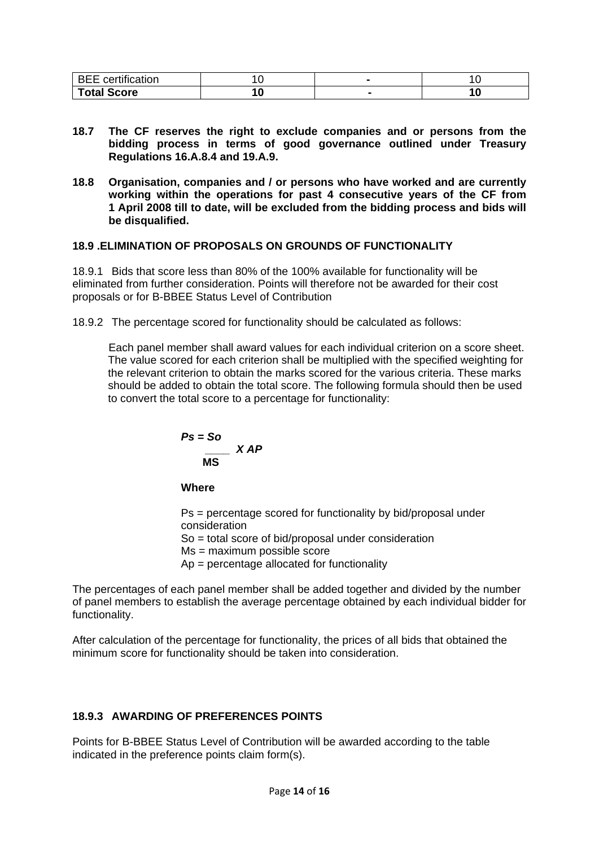| $\cdots$<br>---<br>. .<br>,,,, |   |  |
|--------------------------------|---|--|
| <b>Total Score</b>             | v |  |

- **18.7 The CF reserves the right to exclude companies and or persons from the bidding process in terms of good governance outlined under Treasury Regulations 16.A.8.4 and 19.A.9.**
- **18.8 Organisation, companies and / or persons who have worked and are currently working within the operations for past 4 consecutive years of the CF from 1 April 2008 till to date, will be excluded from the bidding process and bids will be disqualified.**

## **18.9 .ELIMINATION OF PROPOSALS ON GROUNDS OF FUNCTIONALITY**

18.9.1 Bids that score less than 80% of the 100% available for functionality will be eliminated from further consideration. Points will therefore not be awarded for their cost proposals or for B-BBEE Status Level of Contribution

18.9.2 The percentage scored for functionality should be calculated as follows:

Each panel member shall award values for each individual criterion on a score sheet. The value scored for each criterion shall be multiplied with the specified weighting for the relevant criterion to obtain the marks scored for the various criteria. These marks should be added to obtain the total score. The following formula should then be used to convert the total score to a percentage for functionality:

$$
Ps = So
$$
  

$$
MS
$$

**Where** 

Ps = percentage scored for functionality by bid/proposal under consideration So = total score of bid/proposal under consideration

Ms = maximum possible score

Ap = percentage allocated for functionality

The percentages of each panel member shall be added together and divided by the number of panel members to establish the average percentage obtained by each individual bidder for functionality.

After calculation of the percentage for functionality, the prices of all bids that obtained the minimum score for functionality should be taken into consideration.

# **18.9.3 AWARDING OF PREFERENCES POINTS**

Points for B-BBEE Status Level of Contribution will be awarded according to the table indicated in the preference points claim form(s).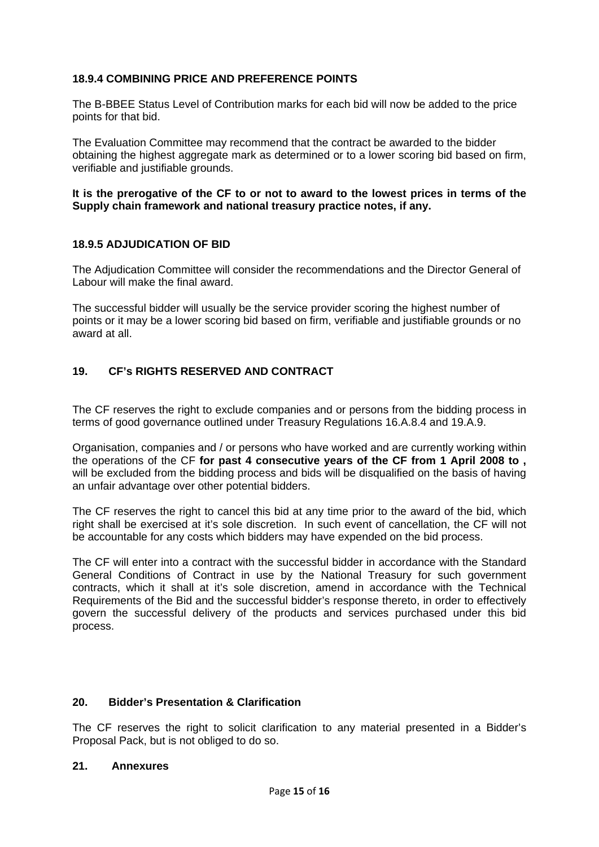## **18.9.4 COMBINING PRICE AND PREFERENCE POINTS**

The B-BBEE Status Level of Contribution marks for each bid will now be added to the price points for that bid.

The Evaluation Committee may recommend that the contract be awarded to the bidder obtaining the highest aggregate mark as determined or to a lower scoring bid based on firm, verifiable and justifiable grounds.

#### **It is the prerogative of the CF to or not to award to the lowest prices in terms of the Supply chain framework and national treasury practice notes, if any.**

## **18.9.5 ADJUDICATION OF BID**

The Adjudication Committee will consider the recommendations and the Director General of Labour will make the final award.

The successful bidder will usually be the service provider scoring the highest number of points or it may be a lower scoring bid based on firm, verifiable and justifiable grounds or no award at all.

## **19. CF's RIGHTS RESERVED AND CONTRACT**

The CF reserves the right to exclude companies and or persons from the bidding process in terms of good governance outlined under Treasury Regulations 16.A.8.4 and 19.A.9.

Organisation, companies and / or persons who have worked and are currently working within the operations of the CF **for past 4 consecutive years of the CF from 1 April 2008 to ,**  will be excluded from the bidding process and bids will be disqualified on the basis of having an unfair advantage over other potential bidders.

The CF reserves the right to cancel this bid at any time prior to the award of the bid, which right shall be exercised at it's sole discretion. In such event of cancellation, the CF will not be accountable for any costs which bidders may have expended on the bid process.

The CF will enter into a contract with the successful bidder in accordance with the Standard General Conditions of Contract in use by the National Treasury for such government contracts, which it shall at it's sole discretion, amend in accordance with the Technical Requirements of the Bid and the successful bidder's response thereto, in order to effectively govern the successful delivery of the products and services purchased under this bid process.

#### **20. Bidder's Presentation & Clarification**

The CF reserves the right to solicit clarification to any material presented in a Bidder's Proposal Pack, but is not obliged to do so.

#### **21. Annexures**